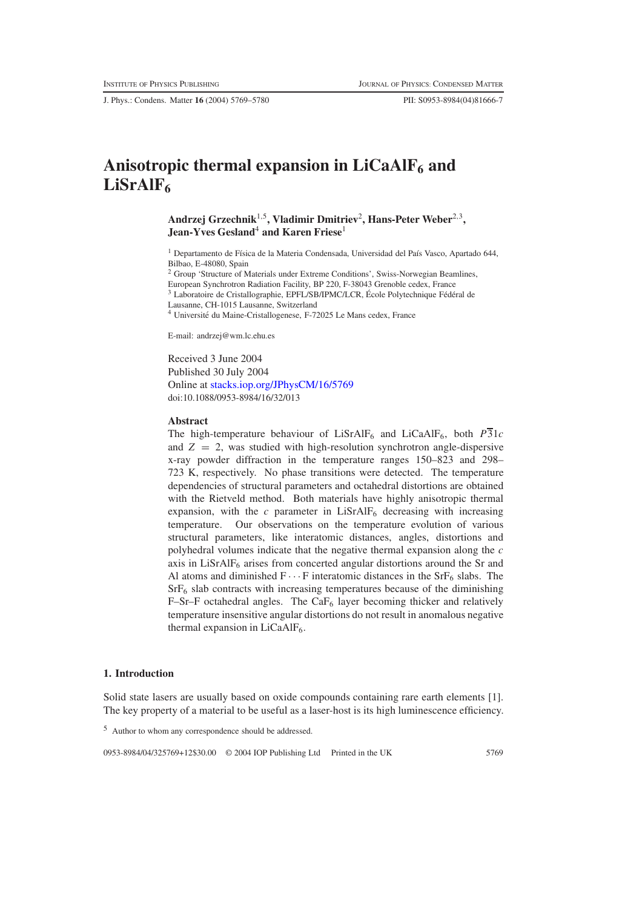# **Anisotropic thermal expansion in LiCaAlF6 and** LiSrAlF<sub>6</sub>

**Andrzej Grzechnik**1,5**, Vladimir Dmitriev**2**, Hans-Peter Weber**2,3**, Jean-Yves Gesland**<sup>4</sup> **and Karen Friese**<sup>1</sup>

<sup>1</sup> Departamento de Física de la Materia Condensada, Universidad del País Vasco, Apartado 644, Bilbao, E-48080, Spain

<sup>2</sup> Group 'Structure of Materials under Extreme Conditions', Swiss-Norwegian Beamlines,

European Synchrotron Radiation Facility, BP 220, F-38043 Grenoble cedex, France

<sup>3</sup> Laboratoire de Cristallographie, EPFL/SB/IPMC/LCR, École Polytechnique Fédéral de Lausanne, CH-1015 Lausanne, Switzerland

<sup>4</sup> Université du Maine-Cristallogenese, F-72025 Le Mans cedex, France

E-mail: andrzej@wm.lc.ehu.es

Received 3 June 2004 Published 30 July 2004 Online at [stacks.iop.org/JPhysCM/16/5769](http://stacks.iop.org/JPhysCM/16/5769) doi:10.1088/0953-8984/16/32/013

## **Abstract**

The high-temperature behaviour of LiSrAlF<sub>6</sub> and LiCaAlF<sub>6</sub>, both  $\overline{P}31c$ and  $Z = 2$ , was studied with high-resolution synchrotron angle-dispersive x-ray powder diffraction in the temperature ranges 150–823 and 298– 723 K, respectively. No phase transitions were detected. The temperature dependencies of structural parameters and octahedral distortions are obtained with the Rietveld method. Both materials have highly anisotropic thermal expansion, with the  $c$  parameter in  $L$ iSrAlF<sub>6</sub> decreasing with increasing temperature. Our observations on the temperature evolution of various structural parameters, like interatomic distances, angles, distortions and polyhedral volumes indicate that the negative thermal expansion along the *c* axis in LiSrAlF6 arises from concerted angular distortions around the Sr and Al atoms and diminished  $F \cdots F$  interatomic distances in the SrF<sub>6</sub> slabs. The  $SrF<sub>6</sub>$  slab contracts with increasing temperatures because of the diminishing F–Sr–F octahedral angles. The CaF<sub>6</sub> layer becoming thicker and relatively temperature insensitive angular distortions do not result in anomalous negative thermal expansion in  $LiCaAlF<sub>6</sub>$ .

#### **1. Introduction**

Solid state lasers are usually based on oxide compounds containing rare earth elements [1]. The key property of a material to be useful as a laser-host is its high luminescence efficiency.

<sup>5</sup> Author to whom any correspondence should be addressed.

0953-8984/04/325769+12\$30.00 © 2004 IOP Publishing Ltd Printed in the UK 5769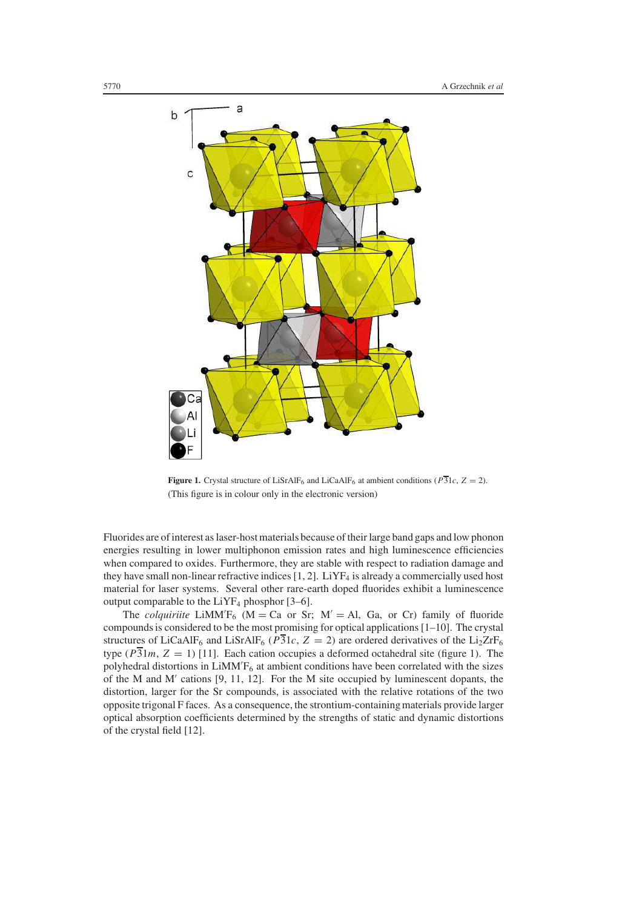

**Figure 1.** Crystal structure of LiSrAlF<sub>6</sub> and LiCaAlF<sub>6</sub> at ambient conditions ( $P\overline{3}1c$ ,  $Z = 2$ ). (This figure is in colour only in the electronic version)

Fluorides are of interest as laser-host materials because of their large band gaps and low phonon energies resulting in lower multiphonon emission rates and high luminescence efficiencies when compared to oxides. Furthermore, they are stable with respect to radiation damage and they have small non-linear refractive indices  $[1, 2]$ . LiYF<sub>4</sub> is already a commercially used host material for laser systems. Several other rare-earth doped fluorides exhibit a luminescence output comparable to the  $LiYF_4$  phosphor [3–6].

The *colquiriite*  $LiMM'F_6$  (M = Ca or Sr; M' = Al, Ga, or Cr) family of fluoride compounds is considered to be the most promising for optical applications [1–10]. The crystal structures of LiCaAlF<sub>6</sub> and LiSrAlF<sub>6</sub> ( $\overline{P}$ 31*c*, *Z* = 2) are ordered derivatives of the Li<sub>2</sub>ZrF<sub>6</sub> type ( $\overline{P31m}$ ,  $\overline{Z} = 1$ ) [11]. Each cation occupies a deformed octahedral site (figure 1). The polyhedral distortions in  $LiMM/F_6$  at ambient conditions have been correlated with the sizes of the M and M' cations  $[9, 11, 12]$ . For the M site occupied by luminescent dopants, the distortion, larger for the Sr compounds, is associated with the relative rotations of the two opposite trigonal F faces. As a consequence, the strontium-containing materials provide larger optical absorption coefficients determined by the strengths of static and dynamic distortions of the crystal field [12].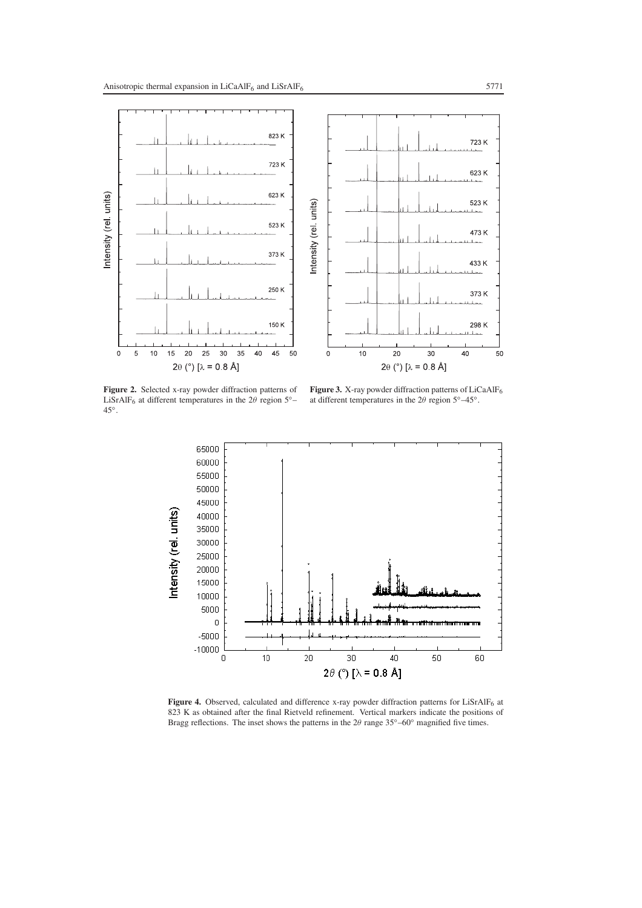

**Figure 2.** Selected x-ray powder diffraction patterns of LiSrAlF<sub>6</sub> at different temperatures in the  $2\theta$  region 5<sup>°</sup>– 45◦.

Figure 3. X-ray powder diffraction patterns of LiCaAlF<sub>6</sub> at different temperatures in the  $2\theta$  region  $5^{\circ} - 45^{\circ}$ .



Figure 4. Observed, calculated and difference x-ray powder diffraction patterns for LiSrAlF<sub>6</sub> at 823 K as obtained after the final Rietveld refinement. Vertical markers indicate the positions of Bragg reflections. The inset shows the patterns in the  $2\theta$  range 35°–60° magnified five times.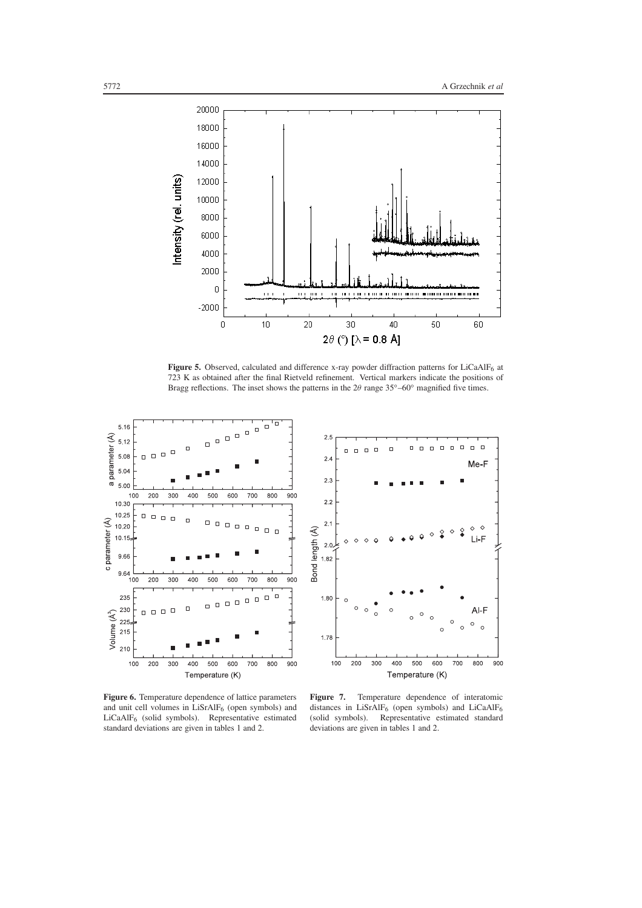

**Figure 5.** Observed, calculated and difference x-ray powder diffraction patterns for LiCaAlF6 at 723 K as obtained after the final Rietveld refinement. Vertical markers indicate the positions of Bragg reflections. The inset shows the patterns in the  $2\theta$  range 35°–60° magnified five times.





**Figure 6.** Temperature dependence of lattice parameters and unit cell volumes in LiSrAlF<sub>6</sub> (open symbols) and LiCaAlF6 (solid symbols). Representative estimated standard deviations are given in tables 1 and 2.

**Figure 7.** Temperature dependence of interatomic distances in LiSrAlF<sub>6</sub> (open symbols) and LiCaAlF<sub>6</sub> (solid symbols). Representative estimated standard deviations are given in tables 1 and 2.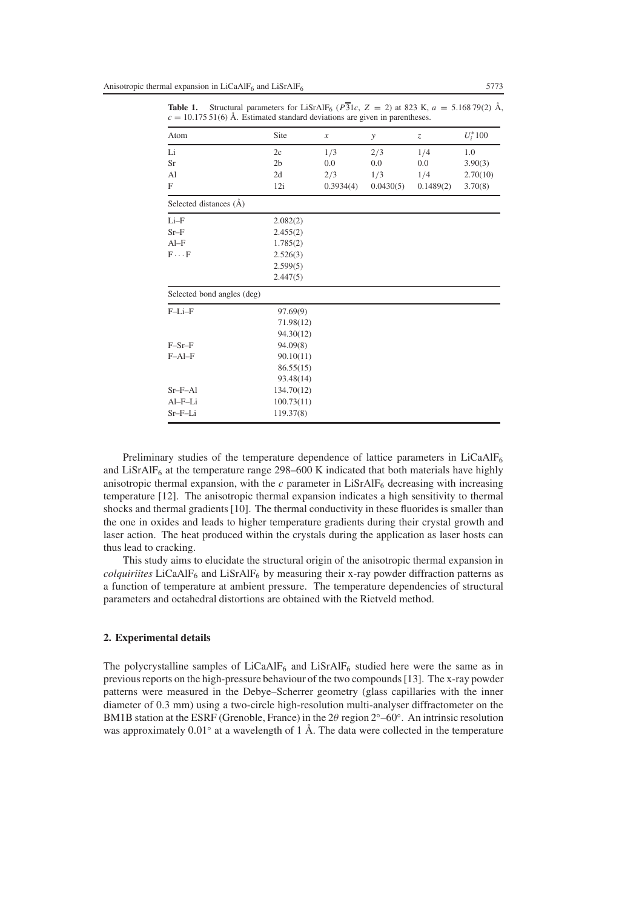| Atom                       | Site           | $\boldsymbol{\mathcal{X}}$ | $\mathcal{Y}$ | $\ensuremath{\mathnormal{Z}}$ | $U_i^*100$ |  |
|----------------------------|----------------|----------------------------|---------------|-------------------------------|------------|--|
| Li                         | 2c             | 1/3                        | 2/3           | 1/4                           | 1.0        |  |
| <b>Sr</b>                  | 2 <sub>b</sub> | 0.0                        | 0.0           | 0.0                           | 3.90(3)    |  |
| Al                         | 2d             | 2/3                        | 1/3           | 1/4                           | 2.70(10)   |  |
| F                          | 12i            | 0.3934(4)                  | 0.0430(5)     | 0.1489(2)                     | 3.70(8)    |  |
| Selected distances (Å)     |                |                            |               |                               |            |  |
| $Li-F$                     | 2.082(2)       |                            |               |                               |            |  |
| $Sr-F$                     | 2.455(2)       |                            |               |                               |            |  |
| $AI-F$                     | 1.785(2)       |                            |               |                               |            |  |
| $F \cdots F$               | 2.526(3)       |                            |               |                               |            |  |
|                            | 2.599(5)       |                            |               |                               |            |  |
|                            | 2.447(5)       |                            |               |                               |            |  |
| Selected bond angles (deg) |                |                            |               |                               |            |  |
| $F-Li-F$                   | 97.69(9)       |                            |               |                               |            |  |
|                            | 71.98(12)      |                            |               |                               |            |  |
|                            | 94.30(12)      |                            |               |                               |            |  |
| $F-Sr-F$                   | 94.09(8)       |                            |               |                               |            |  |
| $F-Al-F$                   | 90.10(11)      |                            |               |                               |            |  |
|                            | 86.55(15)      |                            |               |                               |            |  |
|                            | 93.48(14)      |                            |               |                               |            |  |
| $Sr-F–Al$                  | 134.70(12)     |                            |               |                               |            |  |
| $Al-F-Li$                  | 100.73(11)     |                            |               |                               |            |  |
| Sr-F-Li                    | 119.37(8)      |                            |               |                               |            |  |

**Table 1.** Structural parameters for LiSrAlF<sub>6</sub> ( $P\overline{3}1c$ ,  $Z = 2$ ) at 823 K,  $a = 5.16879(2)$  Å,  $c = 10.17551(6)$  Å. Estimated standard deviations are given in parentheses.

Preliminary studies of the temperature dependence of lattice parameters in  $LiCaAlF<sub>6</sub>$ and LiSrAlF<sub>6</sub> at the temperature range 298–600 K indicated that both materials have highly anisotropic thermal expansion, with the  $c$  parameter in LiSrAlF<sub>6</sub> decreasing with increasing temperature [12]. The anisotropic thermal expansion indicates a high sensitivity to thermal shocks and thermal gradients [10]. The thermal conductivity in these fluorides is smaller than the one in oxides and leads to higher temperature gradients during their crystal growth and laser action. The heat produced within the crystals during the application as laser hosts can thus lead to cracking.

This study aims to elucidate the structural origin of the anisotropic thermal expansion in *colquiriites* LiCaAlF<sub>6</sub> and LiSrAlF<sub>6</sub> by measuring their x-ray powder diffraction patterns as a function of temperature at ambient pressure. The temperature dependencies of structural parameters and octahedral distortions are obtained with the Rietveld method.

### **2. Experimental details**

The polycrystalline samples of  $LiCaAlF_6$  and  $LiSrAlF_6$  studied here were the same as in previous reports on the high-pressure behaviour of the two compounds [13]. The x-ray powder patterns were measured in the Debye–Scherrer geometry (glass capillaries with the inner diameter of 0.3 mm) using a two-circle high-resolution multi-analyser diffractometer on the BM1B station at the ESRF (Grenoble, France) in the  $2\theta$  region  $2°-60°$ . An intrinsic resolution was approximately 0.01◦ at a wavelength of 1 Å. The data were collected in the temperature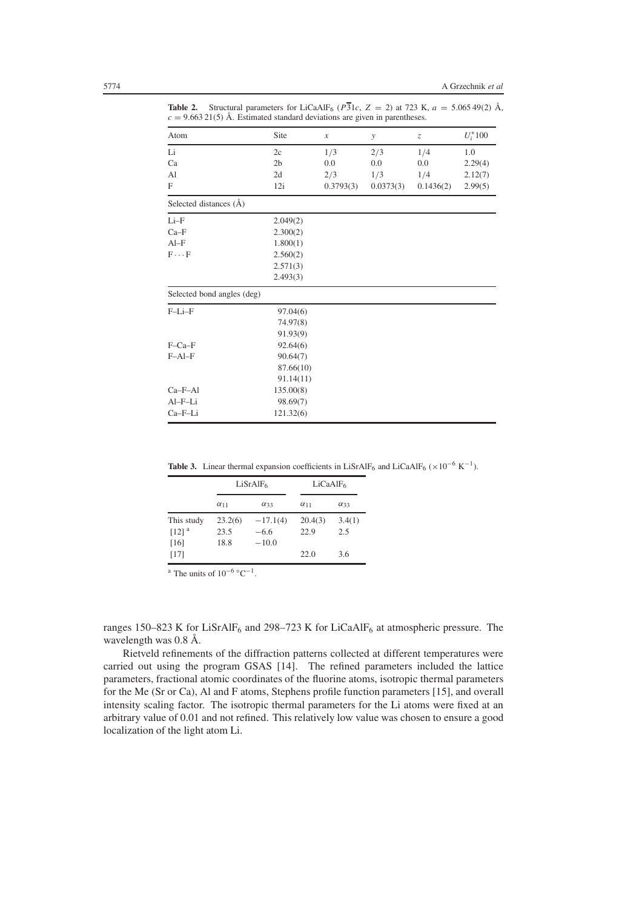| Atom                       | Site           | $\boldsymbol{\mathcal{X}}$ | y         | $\mathcal Z$ | $U_i^*100$ |  |
|----------------------------|----------------|----------------------------|-----------|--------------|------------|--|
|                            |                |                            |           |              |            |  |
| Li                         | 2c             | 1/3                        | 2/3       | 1/4          | 1.0        |  |
| Ca                         | 2 <sub>b</sub> | 0.0                        | 0.0       | 0.0          | 2.29(4)    |  |
| Al                         | 2d             | 2/3                        | 1/3       | 1/4          | 2.12(7)    |  |
| $\boldsymbol{\mathrm{F}}$  | 12i            | 0.3793(3)                  | 0.0373(3) | 0.1436(2)    | 2.99(5)    |  |
| Selected distances (Å)     |                |                            |           |              |            |  |
| Li-F                       | 2.049(2)       |                            |           |              |            |  |
| $Ca-F$                     | 2.300(2)       |                            |           |              |            |  |
| $AI-F$                     | 1.800(1)       |                            |           |              |            |  |
| $F \cdots F$               | 2.560(2)       |                            |           |              |            |  |
|                            | 2.571(3)       |                            |           |              |            |  |
|                            | 2.493(3)       |                            |           |              |            |  |
| Selected bond angles (deg) |                |                            |           |              |            |  |
| $F-Li-F$                   | 97.04(6)       |                            |           |              |            |  |
|                            | 74.97(8)       |                            |           |              |            |  |
|                            | 91.93(9)       |                            |           |              |            |  |
| $F-Ca-F$                   | 92.64(6)       |                            |           |              |            |  |
| $F-Al-F$                   | 90.64(7)       |                            |           |              |            |  |
|                            | 87.66(10)      |                            |           |              |            |  |
|                            | 91.14(11)      |                            |           |              |            |  |
| $Ca-F-Al$                  | 135.00(8)      |                            |           |              |            |  |
| $Al-F-Li$                  | 98.69(7)       |                            |           |              |            |  |
| Ca-F-Li                    | 121.32(6)      |                            |           |              |            |  |

**Table 2.** Structural parameters for LiCaAlF<sub>6</sub> ( $P\overline{3}1c$ ,  $Z = 2$ ) at 723 K,  $a = 5.06549(2)$  Å,  $c = 9.663\,21(5)$  Å. Estimated standard deviations are given in parentheses.

**Table 3.** Linear thermal expansion coefficients in LiSrAlF<sub>6</sub> and LiCaAlF<sub>6</sub> ( $\times 10^{-6}$  K<sup>-1</sup>).

|                     | LiSrAlF <sub>6</sub> |             | LiCaAlF <sub>6</sub> |               |  |
|---------------------|----------------------|-------------|----------------------|---------------|--|
|                     | $\alpha_{11}$        | $\alpha$ 33 | $\alpha_{11}$        | $\alpha_{33}$ |  |
| This study          | 23.2(6)              | $-17.1(4)$  | 20.4(3)              | 3.4(1)        |  |
| $[12]$ <sup>a</sup> | 23.5                 | $-6.6$      | 22.9                 | 2.5           |  |
| [16]                | 18.8                 | $-10.0$     |                      |               |  |
| [17]                |                      |             | 22.0                 | 3.6           |  |

<sup>a</sup> The units of  $10^{-6}$  °C<sup>-1</sup>.

ranges 150–823 K for LiSrAlF<sub>6</sub> and 298–723 K for LiCaAlF<sub>6</sub> at atmospheric pressure. The wavelength was 0.8 Å.

Rietveld refinements of the diffraction patterns collected at different temperatures were carried out using the program GSAS [14]. The refined parameters included the lattice parameters, fractional atomic coordinates of the fluorine atoms, isotropic thermal parameters for the Me (Sr or Ca), Al and F atoms, Stephens profile function parameters [15], and overall intensity scaling factor. The isotropic thermal parameters for the Li atoms were fixed at an arbitrary value of 0.01 and not refined. This relatively low value was chosen to ensure a good localization of the light atom Li.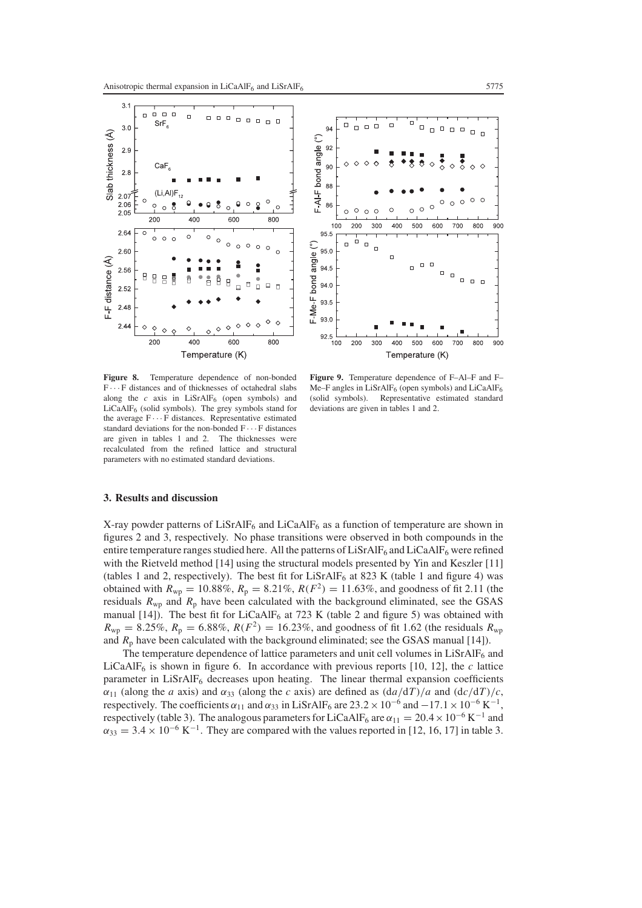



**Figure 8.** Temperature dependence of non-bonded F ··· F distances and of thicknesses of octahedral slabs along the  $c$  axis in LiSrAlF $_6$  (open symbols) and  $LiCaAlF<sub>6</sub>$  (solid symbols). The grey symbols stand for the average  $F \cdots F$  distances. Representative estimated standard deviations for the non-bonded  $F \cdots F$  distances are given in tables 1 and 2. The thicknesses were are given in tables 1 and 2. recalculated from the refined lattice and structural parameters with no estimated standard deviations.

**Figure 9.** Temperature dependence of F–Al–F and F– Me–F angles in LiSrAlF<sub>6</sub> (open symbols) and LiCaAlF<sub>6</sub> (solid symbols). Representative estimated standard deviations are given in tables 1 and 2.

#### **3. Results and discussion**

X-ray powder patterns of  $LiSrAlF_6$  and  $LiCaAlF_6$  as a function of temperature are shown in figures 2 and 3, respectively. No phase transitions were observed in both compounds in the entire temperature ranges studied here. All the patterns of  $LiSrAlF<sub>6</sub>$  and  $LiCaAlF<sub>6</sub>$  were refined with the Rietveld method [14] using the structural models presented by Yin and Keszler [11] (tables 1 and 2, respectively). The best fit for LiSrAlF<sub>6</sub> at 823 K (table 1 and figure 4) was obtained with  $R_{wp} = 10.88\%, R_p = 8.21\%, R(F^2) = 11.63\%,$  and goodness of fit 2.11 (the residuals  $R_{\rm wp}$  and  $R_{\rm p}$  have been calculated with the background eliminated, see the GSAS manual [14]). The best fit for LiCaAlF $_6$  at 723 K (table 2 and figure 5) was obtained with  $R_{wp} = 8.25\%, R_p = 6.88\%, R(F^2) = 16.23\%,$  and goodness of fit 1.62 (the residuals  $R_{wp}$ and  $R_p$  have been calculated with the background eliminated; see the GSAS manual [14]).

The temperature dependence of lattice parameters and unit cell volumes in  $LisrAlF<sub>6</sub>$  and LiCaAlF<sub>6</sub> is shown in figure 6. In accordance with previous reports [10, 12], the  $c$  lattice parameter in  $LisrAIF_6$  decreases upon heating. The linear thermal expansion coefficients  $\alpha_{11}$  (along the *a* axis) and  $\alpha_{33}$  (along the *c* axis) are defined as  $\left(\frac{da}{dT}\right)/a$  and  $\left(\frac{dc}{dT}\right)/c$ , respectively. The coefficients  $\alpha_{11}$  and  $\alpha_{33}$  in LiSrAlF<sub>6</sub> are 23.2 × 10<sup>-6</sup> and −17.1 × 10<sup>-6</sup> K<sup>-1</sup>, respectively (table 3). The analogous parameters for LiCaAlF<sub>6</sub> are  $\alpha_{11} = 20.4 \times 10^{-6} \text{ K}^{-1}$  and  $\alpha_{33} = 3.4 \times 10^{-6} \text{ K}^{-1}$ . They are compared with the values reported in [12, 16, 17] in table 3.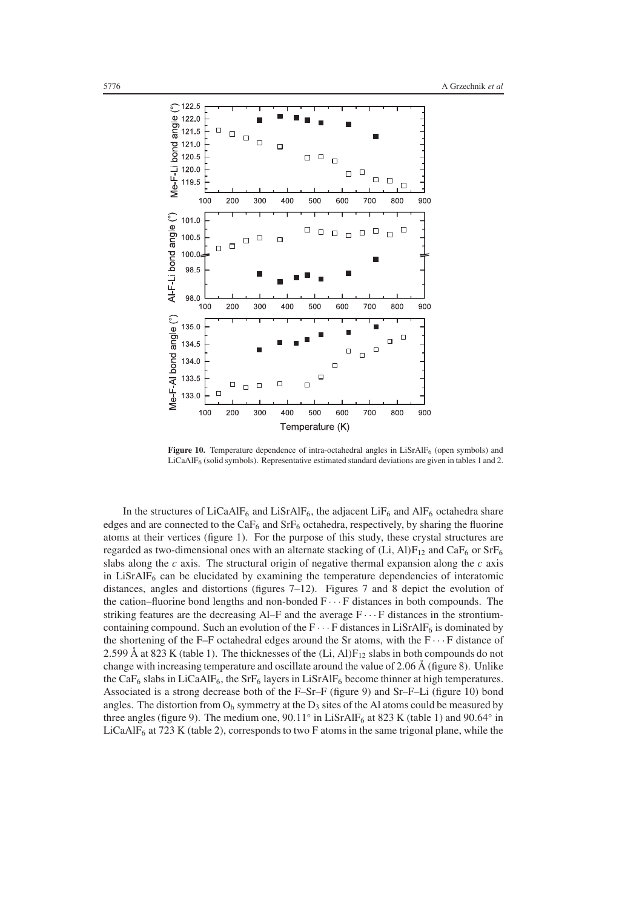

**Figure 10.** Temperature dependence of intra-octahedral angles in LiSrAlF<sub>6</sub> (open symbols) and LiCaAlF<sub>6</sub> (solid symbols). Representative estimated standard deviations are given in tables 1 and 2.

In the structures of LiCaAlF<sub>6</sub> and LiSrAlF<sub>6</sub>, the adjacent LiF<sub>6</sub> and AlF<sub>6</sub> octahedra share edges and are connected to the  $CaF_6$  and  $SrF_6$  octahedra, respectively, by sharing the fluorine atoms at their vertices (figure 1). For the purpose of this study, these crystal structures are regarded as two-dimensional ones with an alternate stacking of (Li, Al) $F_{12}$  and CaF<sub>6</sub> or SrF<sub>6</sub> slabs along the *c* axis. The structural origin of negative thermal expansion along the *c* axis in LiSrAl $F_6$  can be elucidated by examining the temperature dependencies of interatomic distances, angles and distortions (figures 7–12). Figures 7 and 8 depict the evolution of the cation–fluorine bond lengths and non-bonded  $F \cdots F$  distances in both compounds. The striking features are the decreasing Al–F and the average  $F \cdots F$  distances in the strontiumcontaining compound. Such an evolution of the  $F \cdots F$  distances in LiSrAl $F_6$  is dominated by the shortening of the F–F octahedral edges around the Sr atoms, with the  $F \cdots F$  distance of 2.599 Å at 823 K (table 1). The thicknesses of the (Li, Al) $F_{12}$  slabs in both compounds do not change with increasing temperature and oscillate around the value of 2.06 Å (figure 8). Unlike the CaF<sub>6</sub> slabs in LiCaAlF<sub>6</sub>, the SrF<sub>6</sub> layers in LiSrAlF<sub>6</sub> become thinner at high temperatures. Associated is a strong decrease both of the F–Sr–F (figure 9) and Sr–F–Li (figure 10) bond angles. The distortion from  $O<sub>h</sub>$  symmetry at the  $D<sub>3</sub>$  sites of the Al atoms could be measured by three angles (figure 9). The medium one,  $90.11°$  in LiSrAlF<sub>6</sub> at 823 K (table 1) and  $90.64°$  in LiCaAlF<sub>6</sub> at 723 K (table 2), corresponds to two F atoms in the same trigonal plane, while the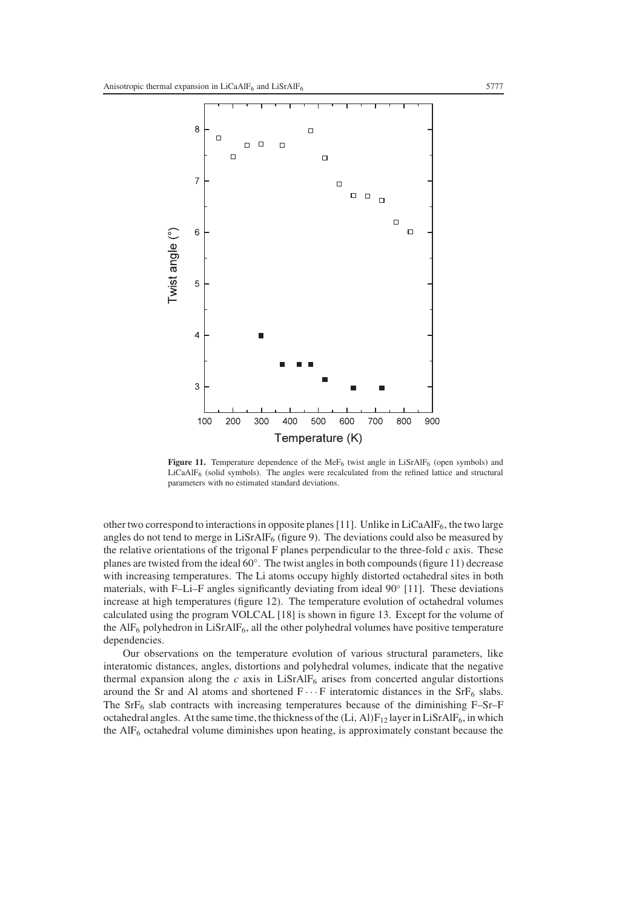

Figure 11. Temperature dependence of the MeF<sub>6</sub> twist angle in LiSrAlF<sub>6</sub> (open symbols) and LiCaAlF6 (solid symbols). The angles were recalculated from the refined lattice and structural parameters with no estimated standard deviations.

other two correspond to interactions in opposite planes [11]. Unlike in LiCaAlF<sub>6</sub>, the two large angles do not tend to merge in  $LiSrAlF<sub>6</sub>$  (figure 9). The deviations could also be measured by the relative orientations of the trigonal F planes perpendicular to the three-fold  $c$  axis. These planes are twisted from the ideal  $60°$ . The twist angles in both compounds (figure 11) decrease with increasing temperatures. The Li atoms occupy highly distorted octahedral sites in both materials, with F–Li–F angles significantly deviating from ideal 90◦ [11]. These deviations increase at high temperatures (figure 12). The temperature evolution of octahedral volumes calculated using the program VOLCAL [18] is shown in figure 13. Except for the volume of the  $\text{AIF}_6$  polyhedron in LiSr $\text{AIF}_6$ , all the other polyhedral volumes have positive temperature dependencies.

Our observations on the temperature evolution of various structural parameters, like interatomic distances, angles, distortions and polyhedral volumes, indicate that the negative thermal expansion along the  $c$  axis in LiSrAlF<sub>6</sub> arises from concerted angular distortions around the Sr and Al atoms and shortened  $F \cdots F$  interatomic distances in the SrF<sub>6</sub> slabs. The  $S$ rF<sub>6</sub> slab contracts with increasing temperatures because of the diminishing F–Sr–F octahedral angles. At the same time, the thickness of the  $(Li, Al)F_{12}$  layer in LiSrAlF<sub>6</sub>, in which the  $\text{AIF}_6$  octahedral volume diminishes upon heating, is approximately constant because the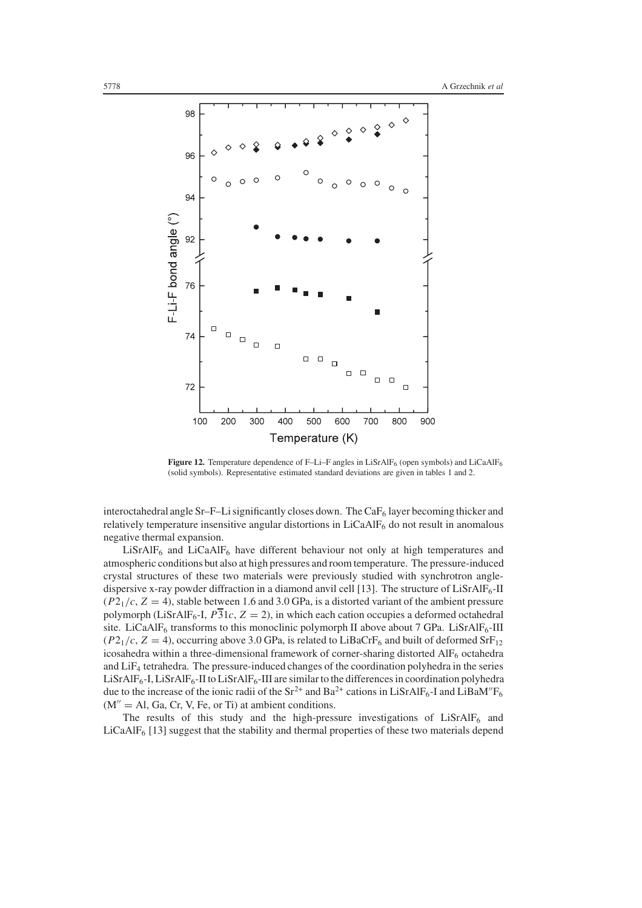

Figure 12. Temperature dependence of F-Li-F angles in LiSrAlF<sub>6</sub> (open symbols) and LiCaAlF<sub>6</sub> (solid symbols). Representative estimated standard deviations are given in tables 1 and 2.

interoctahedral angle Sr–F–Li significantly closes down. The  $CaF_6$  layer becoming thicker and relatively temperature insensitive angular distortions in LiCaAlF<sub>6</sub> do not result in anomalous negative thermal expansion.

 $LiSrAlF<sub>6</sub>$  and  $LiCaAlF<sub>6</sub>$  have different behaviour not only at high temperatures and atmospheric conditions but also at high pressures and room temperature. The pressure-induced crystal structures of these two materials were previously studied with synchrotron angledispersive x-ray powder diffraction in a diamond anvil cell [13]. The structure of  $LisrAIF<sub>6</sub>-II$  $(P2<sub>1</sub>/c, Z = 4)$ , stable between 1.6 and 3.0 GPa, is a distorted variant of the ambient pressure polymorph (LiSrAlF<sub>6</sub>-I,  $\overline{P}$ 31*c*,  $Z = 2$ ), in which each cation occupies a deformed octahedral site. LiCaAlF<sub>6</sub> transforms to this monoclinic polymorph II above about 7 GPa. LiSrAlF<sub>6</sub>-III  $(P2_1/c, Z = 4)$ , occurring above 3.0 GPa, is related to LiBaCrF<sub>6</sub> and built of deformed SrF<sub>12</sub> icosahedra within a three-dimensional framework of corner-sharing distorted  $\text{AIF}_6$  octahedra and LiF4 tetrahedra. The pressure-induced changes of the coordination polyhedra in the series  $LiSrAlF<sub>6</sub>-I, LiSrAlF<sub>6</sub>-II$  to  $LiSrAlF<sub>6</sub>-III$  are similar to the differences in coordination polyhedra due to the increase of the ionic radii of the  $Sr^{2+}$  and  $Ba^{2+}$  cations in LiSrAlF<sub>6</sub>-I and LiBaM'<sup>F</sup><sub>6</sub>  $(M'' = Al, Ga, Cr, V, Fe, or Ti)$  at ambient conditions.

The results of this study and the high-pressure investigations of  $LisrAlF<sub>6</sub>$  and  $LiCaAlF<sub>6</sub>$  [13] suggest that the stability and thermal properties of these two materials depend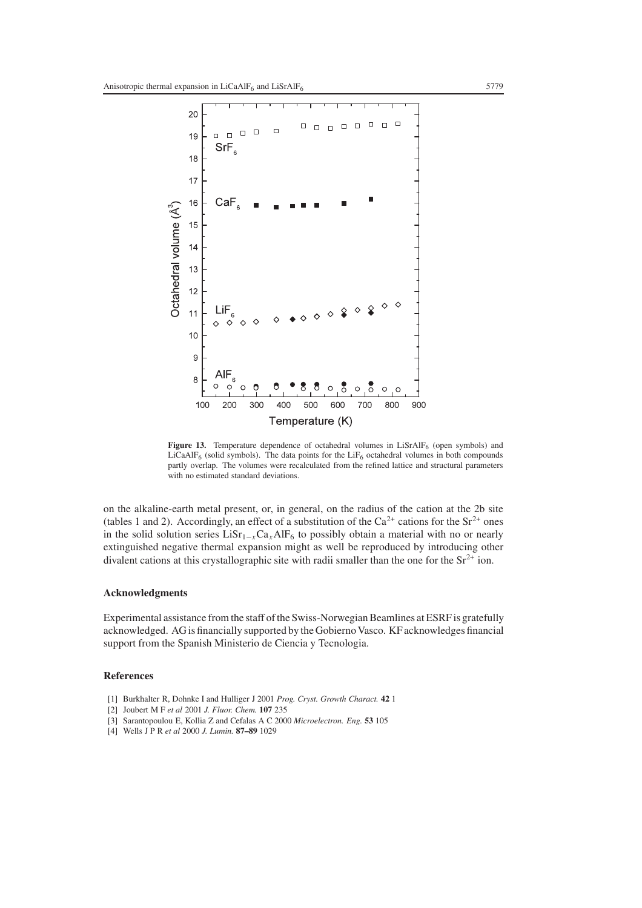

**Figure 13.** Temperature dependence of octahedral volumes in  $LisrAIF<sub>6</sub>$  (open symbols) and LiCaAlF<sub>6</sub> (solid symbols). The data points for the LiF<sub>6</sub> octahedral volumes in both compounds partly overlap. The volumes were recalculated from the refined lattice and structural parameters with no estimated standard deviations.

on the alkaline-earth metal present, or, in general, on the radius of the cation at the 2b site (tables 1 and 2). Accordingly, an effect of a substitution of the  $Ca^{2+}$  cations for the  $Sr^{2+}$  ones in the solid solution series LiSr<sub>1−*x*</sub>Ca<sub>*x*</sub>AlF<sub>6</sub> to possibly obtain a material with no or nearly extinguished negative thermal expansion might as well be reproduced by introducing other divalent cations at this crystallographic site with radii smaller than the one for the  $Sr^{2+}$  ion.

#### **Acknowledgments**

Experimental assistance from the staff of the Swiss-Norwegian Beamlines at ESRF is gratefully acknowledged. AG is financially supported by theGobierno Vasco. KF acknowledges financial support from the Spanish Ministerio de Ciencia y Tecnologia.

## **References**

- [1] Burkhalter R, Dohnke I and Hulliger J 2001 *Prog. Cryst. Growth Charact.* **42** 1
- [2] Joubert M F *et al* 2001 *J. Fluor. Chem.* **107** 235
- [3] Sarantopoulou E, Kollia Z and Cefalas A C 2000 *Microelectron. Eng.* **53** 105
- [4] Wells J P R *et al* 2000 *J. Lumin.* **87–89** 1029